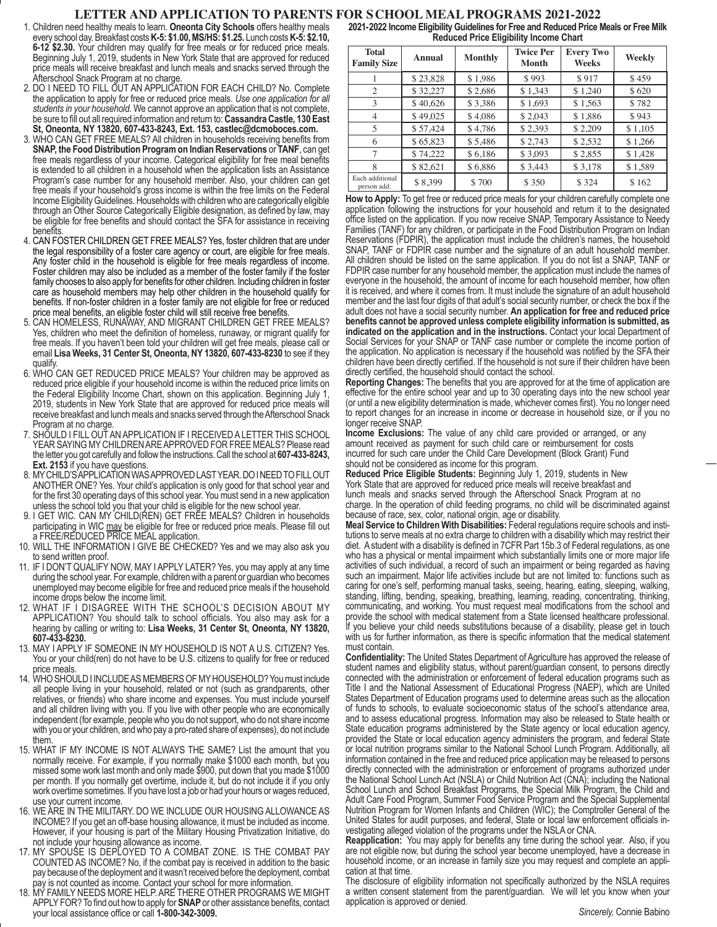# **LETTER AND APPLICATION TO PARENTS FOR SCHOOL MEAL PROGRAMS 2021-2022**

- 1. Children need healthy meals to learn. **Oneonta City Schools** offers healthy meals every school day. Breakfast costs **K-5: \$1.00, MS/HS: \$1.25.** Lunch costs **K-5: \$2.10, 6-12 \$2.30.** Your children may qualify for free meals or for reduced price meals. Beginning July 1, 2019, students in New York State that are approved for reduced price meals will receive breakfast and lunch meals and snacks served through the Afterschool Snack Program at no charge.
- 2. DO I NEED TO FILL OUT AN APPLICATION FOR EACH CHILD? No. Complete the application to apply for free or reduced price meals. *Use one application for all students in your household.* We cannot approve an application that is not complete, be sure to fill out all required information and return to: **Cassandra Castle, 130 East St, Oneonta, NY 13820, 607-433-8243, Ext. 153, castlec@dcmoboces.com.**
- 3. WHO CAN GET FREE MEALS? All children in households receiving benefits from **SNAP, the Food Distribution Program on Indian Reservations** or **TANF**, can get free meals regardless of your income. Categorical eligibility for free meal benefits is extended to all children in a household when the application lists an Assistance Program's case number for any household member. Also, your children can get free meals if your household's gross income is within the free limits on the Federal Income Eligibility Guidelines. Households with children who are categorically eligible through an Other Source Categorically Eligible designation, as defined by law, may be eligible for free benefits and should contact the SFA for assistance in receiving benefits.
- 4. CAN FOSTER CHILDREN GET FREE MEALS? Yes, foster children that are under the legal responsibility of a foster care agency or court, are eligible for free meals. Any foster child in the household is eligible for free meals regardless of income. Foster children may also be included as a member of the foster family if the foster family chooses to also apply for benefits for other children. Including children in foster care as household members may help other children in the household qualify for benefits. If non-foster children in a foster family are not eligible for free or reduced price meal benefits, an eligible foster child will still receive free benefits.
- 5. CAN HOMELESS, RUNAWAY, AND MIGRANT CHILDREN GET FREE MEALS? Yes, children who meet the definition of homeless, runaway, or migrant qualify for free meals. If you haven't been told your children will get free meals, please call or email **Lisa Weeks, 31 Center St, Oneonta, NY 13820, 607-433-8230** to see if they qualify.
- 6. WHO CAN GET REDUCED PRICE MEALS? Your children may be approved as reduced price eligible if your household income is within the reduced price limits on the Federal Eligibility Income Chart, shown on this application. Beginning July 1, 2019, students in New York State that are approved for reduced price meals will receive breakfast and lunch meals and snacks served through the Afterschool Snack Program at no charge.
- 7. SHOULD I FILL OUT AN APPLICATION IF I RECEIVED A LETTER THIS SCHOOL YEAR SAYING MY CHILDREN ARE APPROVED FOR FREE MEALS? Please read the letter you got carefully and follow the instructions. Call the school at **607-433-8243, Ext. 2153** if you have questions.
- 8. MY CHILD'S APPLICATION WAS APPROVED LAST YEAR. DO I NEED TO FILL OUT ANOTHER ONE? Yes. Your child's application is only good for that school year and for the first 30 operating days of this school year. You must send in a new application unless the school told you that your child is eligible for the new school year.
- 9. I GET WIC. CAN MY CHILD(REN) GET FREE MEALS? Children in households participating in WIC may be eligible for free or reduced price meals. Please fill out a FREE/REDUCED PRICE MEAL application.
- 10. WILL THE INFORMATION I GIVE BE CHECKED? Yes and we may also ask you to send written proof.
- 11. IF I DON'T QUALIFY NOW, MAY I APPLY LATER? Yes, you may apply at any time during the school year. For example, children with a parent or guardian who becomes unemployed may become eligible for free and reduced price meals if the household income drops below the income limit.
- 12. WHAT IF I DISAGREE WITH THE SCHOOL'S DECISION ABOUT MY APPLICATION? You should talk to school officials. You also may ask for a hearing by calling or writing to: **Lisa Weeks, 31 Center St, Oneonta, NY 13820, 607-433-8230.**
- 13. MAY I APPLY IF SOMEONE IN MY HOUSEHOLD IS NOT A U.S. CITIZEN? Yes. You or your child(ren) do not have to be U.S. citizens to qualify for free or reduced price meals.
- 14. WHO SHOULD I INCLUDE AS MEMBERS OF MY HOUSEHOLD? You must include all people living in your household, related or not (such as grandparents, other relatives, or friends) who share income and expenses. You must include yourself and all children living with you. If you live with other people who are economically independent (for example, people who you do not support, who do not share income with you or your children, and who pay a pro-rated share of expenses), do not include them.
- 15. WHAT IF MY INCOME IS NOT ALWAYS THE SAME? List the amount that you normally receive. For example, if you normally make \$1000 each month, but you missed some work last month and only made \$900, put down that you made \$1000 per month. If you normally get overtime, include it, but do not include it if you only work overtime sometimes. If you have lost a job or had your hours or wages reduced, use your current income.
- 16. WE ARE IN THE MILITARY. DO WE INCLUDE OUR HOUSING ALLOWANCE AS INCOME? If you get an off-base housing allowance, it must be included as income. However, if your housing is part of the Military Housing Privatization Initiative, do not include your housing allowance as income.
- 17. MY SPOUSE IS DEPLOYED TO A COMBAT ZONE. IS THE COMBAT PAY COUNTED AS INCOME? No, if the combat pay is received in addition to the basic pay because of the deployment and it wasn't received before the deployment, combat pay is not counted as income. Contact your school for more information.
- 18. MY FAMILY NEEDS MORE HELP. ARE THERE OTHER PROGRAMS WE MIGHT APPLY FOR? To find out how to apply for **SNAP** or other assistance benefits, contact your local assistance office or call **1-800-342-3009.**

**2021-2022 Income Eligibility Guidelines for Free and Reduced Price Meals or Free Milk Reduced Price Eligibility Income Chart**

| <b>Total</b><br><b>Family Size</b> | <b>Annual</b> | <b>Monthly</b> | <b>Twice Per</b><br><b>Month</b> | <b>Every Two</b><br>Weeks | Weekly  |
|------------------------------------|---------------|----------------|----------------------------------|---------------------------|---------|
|                                    | \$23,828      | \$1,986        | \$993                            | \$917                     | \$459   |
| 2                                  | \$32,227      | \$2,686        | \$1,343                          | \$1,240                   | \$620   |
| 3                                  | \$40,626      | \$3,386        | \$1,693                          | \$1,563                   | \$782   |
| $\overline{4}$                     | \$49,025      | \$4,086        | \$2,043                          | \$1,886                   | \$943   |
| 5                                  | \$57,424      | \$4,786        | \$2,393                          | \$2,209                   | \$1,105 |
| 6                                  | \$65,823      | \$5,486        | \$2,743                          | \$2,532                   | \$1,266 |
| 7                                  | \$74,222      | \$6,186        | \$3,093                          | \$2,855                   | \$1,428 |
| 8                                  | \$82,621      | \$6,886        | \$3,443                          | \$3,178                   | \$1,589 |
| Each additional<br>person add:     | \$8.399       | \$700          | \$350                            | \$324                     | \$162   |

**How to Apply:** To get free or reduced price meals for your children carefully complete one application following the instructions for your household and return it to the designated office listed on the application. If you now receive SNAP, Temporary Assistance to Needy Families (TANF) for any children, or participate in the Food Distribution Program on Indian Reservations (FDPIR), the application must include the children's names, the household SNAP, TANF or FDPIR case number and the signature of an adult household member. All children should be listed on the same application. If you do not list a SNAP, TANF or FDPIR case number for any household member, the application must include the names of everyone in the household, the amount of income for each household member, how often it is received, and where it comes from. It must include the signature of an adult household member and the last four digits of that adult's social security number, or check the box if the adult does not have a social security number. **An application for free and reduced price benefits cannot be approved unless complete eligibility information is submitted, as indicated on the application and in the instructions.** Contact your local Department of Social Services for your SNAP or TANF case number or complete the income portion of the application. No application is necessary if the household was notified by the SFA their children have been directly certified. If the household is not sure if their children have been directly certified, the household should contact the school.

**Reporting Changes:** The benefits that you are approved for at the time of application are effective for the entire school year and up to 30 operating days into the new school year (or until a new eligibility determination is made, whichever comes first). You no longer need to report changes for an increase in income or decrease in household size, or if you no longer receive SNAP.

**Income Exclusions:** The value of any child care provided or arranged, or any amount received as payment for such child care or reimbursement for costs incurred for such care under the Child Care Development (Block Grant) Fund should not be considered as income for this program.

**Reduced Price Eligible Students:** Beginning July 1, 2019, students in New York State that are approved for reduced price meals will receive breakfast and lunch meals and snacks served through the Afterschool Snack Program at no charge. In the operation of child feeding programs, no child will be discriminated against

because of race, sex, color, national origin, age or disability.<br>**Meal Service to Children With Disabilities:** Federal regulations require schools and institutions to serve meals at no extra charge to children with a disability which may restrict their diet. A student with a disability is defined in 7CFR Part 15b.3 of Federal regulations, as one who has a physical or mental impairment which substantially limits one or more major life activities of such individual, a record of such an impairment or being regarded as having such an impairment. Major life activities include but are not limited to: functions such as caring for one's self, performing manual tasks, seeing, hearing, eating, sleeping, walking, standing, lifting, bending, speaking, breathing, learning, reading, concentrating, thinking, communicating, and working. You must request meal modifications from the school and provide the school with medical statement from a State licensed healthcare professional. If you believe your child needs substitutions because of a disability, please get in touch with us for further information, as there is specific information that the medical statement must contain.

**Confidentiality:** The United States Department of Agriculture has approved the release of student names and eligibility status, without parent/guardian consent, to persons directly connected with the administration or enforcement of federal education programs such as Title I and the National Assessment of Educational Progress (NAEP), which are United States Department of Education programs used to determine areas such as the allocation of funds to schools, to evaluate socioeconomic status of the school's attendance area, and to assess educational progress. Information may also be released to State health or State education programs administered by the State agency or local education agency, provided the State or local education agency administers the program, and federal State or local nutrition programs similar to the National School Lunch Program. Additionally, all information contained in the free and reduced price application may be released to persons directly connected with the administration or enforcement of programs authorized under the National School Lunch Act (NSLA) or Child Nutrition Act (CNA); including the National School Lunch and School Breakfast Programs, the Special Milk Program, the Child and Adult Care Food Program, Summer Food Service Program and the Special Supplemental Nutrition Program for Women Infants and Children (WIC); the Comptroller General of the United States for audit purposes, and federal, State or local law enforcement officials in- vestigating alleged violation of the programs under the NSLA or CNA.

**Reapplication:** You may apply for benefits any time during the school year. Also, if you are not eligible now, but during the school year become unemployed, have a decrease in household income, or an increase in family size you may request and complete an appli- cation at that time.

The disclosure of eligibility information not specifically authorized by the NSLA requires a written consent statement from the parent/guardian. We will let you know when your application is approved or denied.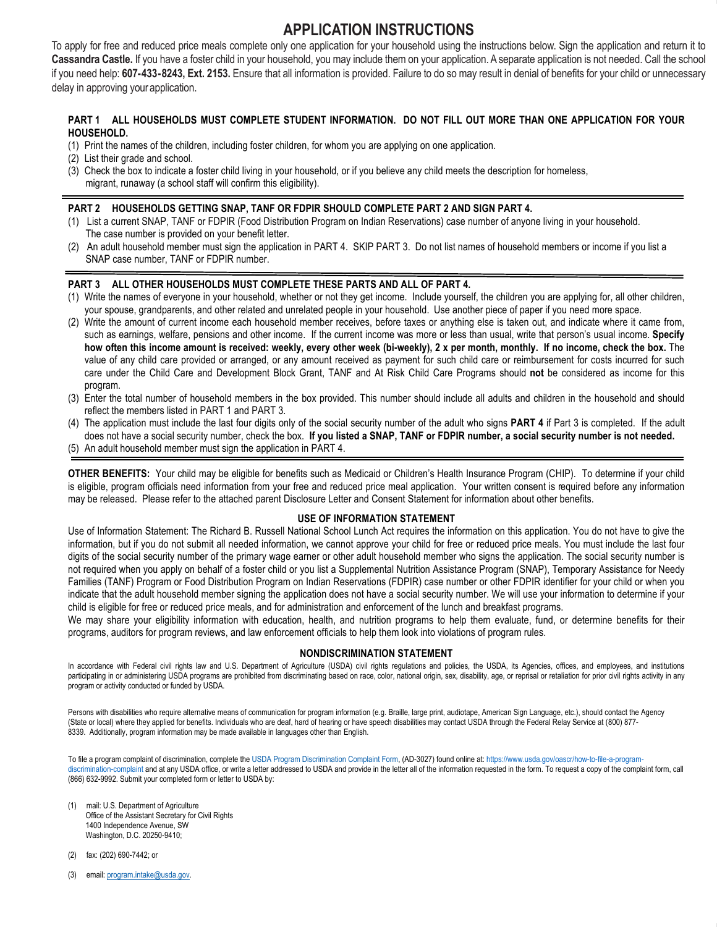# **APPLICATION INSTRUCTIONS APPLICATION INSTRUCTIONS**

To apply for free and reduced price meals complete only one application for your household using the instructions below. Sign the application and return it to Cassandra Castle. If you have a foster child in your household, you may include them on your application. A separate application is not needed. Call the school if you need help: 607-433-8243, Ext. 2153. Ensure that all information is provided. Failure to do so may result in denial of benefits for your child or unnecessary delay in approving your application. Ensure that all information is provided. Failure to do so may result in den

# **PART 1 ALL HOUSEHOLDS MUST COMPLETE STUDENT INFORMATION. DO NOT FILL OUT MORE THAN ONE APPLICATION FOR YOUR HOUSEHOLD.**

- (1) Print the names of the children, including foster children, for whom you are applying on one application.
- (2) List their grade and school.
- (3) Check the box to indicate a foster child living in your household, or if you believe any child meets the description for homeless, migrant, runaway (a school staff will confirm this eligibility).

# **PART 2 HOUSEHOLDS GETTING SNAP, TANF OR FDPIR SHOULD COMPLETE PART 2 AND SIGN PART 4.**

- (1) List a current SNAP, TANF or FDPIR (Food Distribution Program on Indian Reservations) case number of anyone living in your household. The case number is provided on your benefit letter.
- (2) An adult household member must sign the application in PART 4. SKIP PART 3. Do not list names of household members or income if you list a SNAP case number, TANF or FDPIR number.

# **PART 3 ALL OTHER HOUSEHOLDS MUST COMPLETE THESE PARTS AND ALL OF PART 4.**

- (1) Write the names of everyone in your household, whether or not they get income. Include yourself, the children you are applying for, all other children, your spouse, grandparents, and other related and unrelated people in your household. Use another piece of paper if you need more space.
- (2) Write the amount of current income each household member receives, before taxes or anything else is taken out, and indicate where it came from, such as earnings, welfare, pensions and other income. If the current income was more or less than usual, write that person's usual income. **Specify how often this income amount is received: weekly, every other week (bi-weekly), 2 x per month, monthly. If no income, check the box.** The value of any child care provided or arranged, or any amount received as payment for such child care or reimbursement for costs incurred for such care under the Child Care and Development Block Grant, TANF and At Risk Child Care Programs should **not** be considered as income for this program.
- (3) Enter the total number of household members in the box provided. This number should include all adults and children in the household and should reflect the members listed in PART 1 and PART 3.
- (4) The application must include the last four digits only of the social security number of the adult who signs **PART 4** if Part 3 is completed. If the adult does not have a social security number, check the box. **If you listed a SNAP, TANF or FDPIR number, a social security number is not needed.**
- (5) An adult household member must sign the application in PART 4.

**OTHER BENEFITS:** Your child may be eligible for benefits such as Medicaid or Children's Health Insurance Program (CHIP). To determine if your child is eligible, program officials need information from your free and reduced price meal application. Your written consent is required before any information may be released. Please refer to the attached parent Disclosure Letter and Consent Statement for information about other benefits.

# **USE OF INFORMATION STATEMENT**

Use of Information Statement: The Richard B. Russell National School Lunch Act requires the information on this application. You do not have to give the information, but if you do not submit all needed information, we cannot approve your child for free or reduced price meals. You must include the last four digits of the social security number of the primary wage earner or other adult household member who signs the application. The social security number is not required when you apply on behalf of a foster child or you list a Supplemental Nutrition Assistance Program (SNAP), Temporary Assistance for Needy Families (TANF) Program or Food Distribution Program on Indian Reservations (FDPIR) case number or other FDPIR identifier for your child or when you indicate that the adult household member signing the application does not have a social security number. We will use your information to determine if your child is eligible for free or reduced price meals, and for administration and enforcement of the lunch and breakfast programs.

We may share your eligibility information with education, health, and nutrition programs to help them evaluate, fund, or determine benefits for their programs, auditors for program reviews, and law enforcement officials to help them look into violations of program rules.

# **NONDISCRIMINATION STATEMENT**

In accordance with Federal civil rights law and U.S. Department of Agriculture (USDA) civil rights regulations and policies, the USDA, its Agencies, offices, and employees, and institutions participating in or administering USDA programs are prohibited from discriminating based on race, color, national origin, sex, disability, age, or reprisal or retaliation for prior civil rights activity in any program or activity conducted or funded by USDA.

Persons with disabilities who require alternative means of communication for program information (e.g. Braille, large print, audiotape, American Sign Language, etc.), should contact the Agency (State or local) where they applied for benefits. Individuals who are deaf, hard of hearing or have speech disabilities may contact USDA through the Federal Relay Service at (800) 877- 8339. Additionally, program information may be made available in languages other than English.

To file a program complaint of discrimination, complete the USDA Program Discrimination Complaint Form, (AD-3027) found online at: https://www.usda.gov/oascr/how-to-file-a-programdiscrimination-complaint and at any USDA office, or write a letter addressed to USDA and provide in the letter all of the information requested in the form. To request a copy of the complaint form, call (866) 632-9992. Submit your completed form or letter to USDA by:

- (1) mail: U.S. Department of Agriculture Office of the Assistant Secretary for Civil Rights 1400 Independence Avenue, SW Washington, D.C. 20250-9410;
- (2) fax: (202) 690-7442; or
- (3) email: program.intake@usda.gov.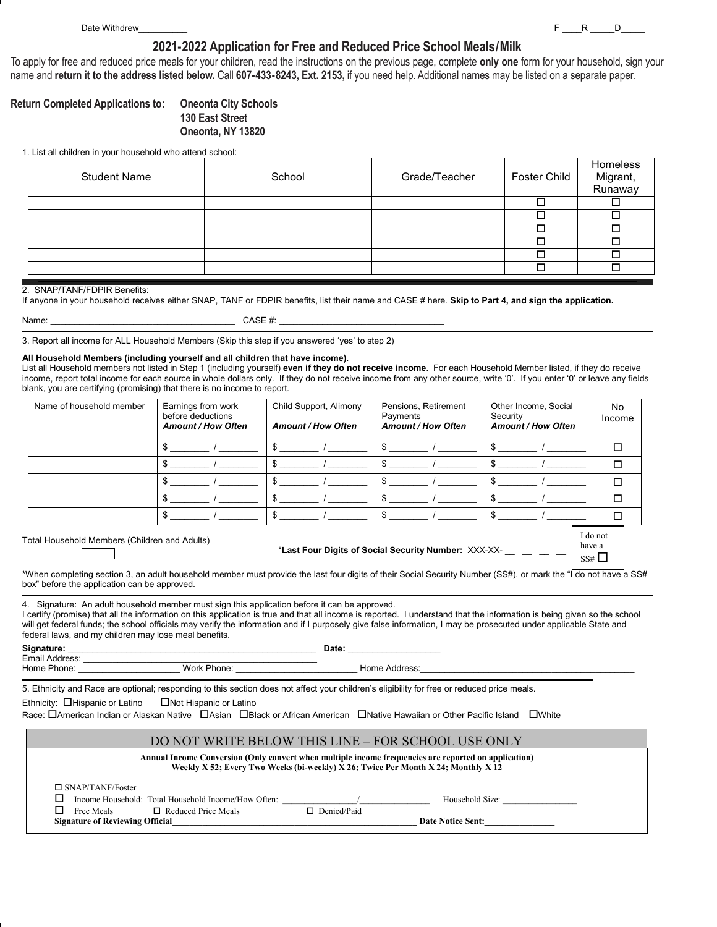# **2017-2018 Application for Free and Reduced Price School Meals/Milk 2021-2022 Application for Free and Reduced Price School Meals/Milk**

To apply for free and reduced price meals for your children, read the instructions on the previous page, complete only one form for your household, sign your<br>names and urbum it to the address listed below. Only 22, 422, 92 name and **return it to the address listed below.** Call **607-433-8243, Ext. 2153,** if you need help. Additional names may be listed on a separate paper.

# **Return Completed Applications to: (School Name) 130 East Street Return Completed Applications to: Oneonta City Schools**

**(Street Name) Oneonta, NY 13820**

### 1. List all children in your household who attend school:

| <b>Student Name</b> | School | Grade/Teacher | Foster Child | Homeless<br>Migrant,<br>Runaway |
|---------------------|--------|---------------|--------------|---------------------------------|
|                     |        |               |              |                                 |
|                     |        |               |              |                                 |
|                     |        |               |              |                                 |
|                     |        |               |              |                                 |
|                     |        |               |              |                                 |
|                     |        |               |              |                                 |
|                     |        |               |              |                                 |

### 2. SNAP/TANF/FDPIR Benefits:

If anyone in your household receives either SNAP, TANF or FDPIR benefits, list their name and CASE # here. **Skip to Part 4, and sign the application.**

Name: \_\_\_\_\_\_\_\_\_\_\_\_\_\_\_\_\_\_\_\_\_\_\_\_\_\_\_\_\_\_\_\_\_\_\_\_\_\_ CASE #: \_\_\_\_\_\_\_\_\_\_\_\_\_\_\_\_\_\_\_\_\_\_\_\_\_\_\_\_\_\_\_\_\_\_

3. Report all income for ALL Household Members (Skip this step if you answered 'yes' to step 2)

#### **All Household Members (including yourself and all children that have income).**

List all Household members not listed in Step 1 (including yourself) **even if they do not receive income**. For each Household Member listed, if they do receive income, report total income for each source in whole dollars only. If they do not receive income from any other source, write '0'. If you enter '0' or leave any fields blank, you are certifying (promising) that there is no income to report.

| Name of household member                                                                                                                                                                                                                                                                                                                                                                                                                                                                                                                                                                                                                                                                                                   | Earnings from work<br>before deductions<br><b>Amount / How Often</b> | Child Support, Alimony<br><b>Amount / How Often</b> | Pensions, Retirement<br>Payments<br><b>Amount / How Often</b>                                                                                                                                                                  | Other Income, Social<br>Security<br><b>Amount / How Often</b> | No.<br>Income |
|----------------------------------------------------------------------------------------------------------------------------------------------------------------------------------------------------------------------------------------------------------------------------------------------------------------------------------------------------------------------------------------------------------------------------------------------------------------------------------------------------------------------------------------------------------------------------------------------------------------------------------------------------------------------------------------------------------------------------|----------------------------------------------------------------------|-----------------------------------------------------|--------------------------------------------------------------------------------------------------------------------------------------------------------------------------------------------------------------------------------|---------------------------------------------------------------|---------------|
|                                                                                                                                                                                                                                                                                                                                                                                                                                                                                                                                                                                                                                                                                                                            |                                                                      | $\frac{1}{2}$                                       | $\frac{1}{2}$                                                                                                                                                                                                                  | $\frac{1}{2}$                                                 | □             |
|                                                                                                                                                                                                                                                                                                                                                                                                                                                                                                                                                                                                                                                                                                                            | $\frac{1}{2}$                                                        | $\frac{1}{2}$                                       | $\frac{1}{2}$                                                                                                                                                                                                                  | $\frac{1}{2}$                                                 | $\Box$        |
|                                                                                                                                                                                                                                                                                                                                                                                                                                                                                                                                                                                                                                                                                                                            |                                                                      | $\frac{1}{2}$                                       | $\frac{1}{2}$                                                                                                                                                                                                                  | $\frac{1}{2}$                                                 | $\Box$        |
|                                                                                                                                                                                                                                                                                                                                                                                                                                                                                                                                                                                                                                                                                                                            | $\frac{1}{2}$                                                        | $\frac{1}{2}$                                       | $\frac{1}{2}$                                                                                                                                                                                                                  | $\frac{1}{2}$                                                 | $\Box$        |
|                                                                                                                                                                                                                                                                                                                                                                                                                                                                                                                                                                                                                                                                                                                            | $\sim$                                                               | $\frac{1}{2}$                                       | $\mathbb{S}$                                                                                                                                                                                                                   | $\mathbb{S}$                                                  | $\Box$        |
| *When completing section 3, an adult household member must provide the last four digits of their Social Security Number (SS#), or mark the "I do not have a SS#<br>box" before the application can be approved.<br>4. Signature: An adult household member must sign this application before it can be approved.<br>I certify (promise) that all the information on this application is true and that all income is reported. I understand that the information is being given so the school<br>will get federal funds; the school officials may verify the information and if I purposely give false information, I may be prosecuted under applicable State and<br>federal laws, and my children may lose meal benefits. |                                                                      |                                                     | *Last Four Digits of Social Security Number: XXX-XX-                                                                                                                                                                           |                                                               | $SS# \square$ |
|                                                                                                                                                                                                                                                                                                                                                                                                                                                                                                                                                                                                                                                                                                                            |                                                                      |                                                     | Date: the contract of the contract of the contract of the contract of the contract of the contract of the contract of the contract of the contract of the contract of the contract of the contract of the contract of the cont |                                                               |               |
|                                                                                                                                                                                                                                                                                                                                                                                                                                                                                                                                                                                                                                                                                                                            |                                                                      |                                                     |                                                                                                                                                                                                                                |                                                               |               |
| 5. Ethnicity and Race are optional; responding to this section does not affect your children's eligibility for free or reduced price meals.<br>Ethnicity: $\Box$ Hispanic or Latino $\Box$ Not Hispanic or Latino<br>Race: DAmerican Indian or Alaskan Native DAsian DBlack or African American DNative Hawaiian or Other Pacific Island DWhite                                                                                                                                                                                                                                                                                                                                                                            |                                                                      |                                                     |                                                                                                                                                                                                                                |                                                               |               |
|                                                                                                                                                                                                                                                                                                                                                                                                                                                                                                                                                                                                                                                                                                                            |                                                                      | DO MOT WEITE DELOW THIS LIME. EOD SCHOOL HISE OMLY  |                                                                                                                                                                                                                                |                                                               |               |

# DO NOT WRITE BELOW THIS LINE – FOR SCHOOL USE ONLY

| Annual Income Conversion (Only convert when multiple income frequencies are reported on application)<br>Weekly X 52; Every Two Weeks (bi-weekly) X 26; Twice Per Month X 24; Monthly X 12 |                                                     |               |                          |  |  |
|-------------------------------------------------------------------------------------------------------------------------------------------------------------------------------------------|-----------------------------------------------------|---------------|--------------------------|--|--|
| $\Box$ SNAP/TANF/Foster                                                                                                                                                                   |                                                     |               |                          |  |  |
|                                                                                                                                                                                           | Income Household: Total Household Income/How Often: |               | Household Size:          |  |  |
| Free Meals                                                                                                                                                                                | $\Box$ Reduced Price Meals                          | □ Denied/Paid |                          |  |  |
| <b>Signature of Reviewing Official</b>                                                                                                                                                    |                                                     |               | <b>Date Notice Sent:</b> |  |  |